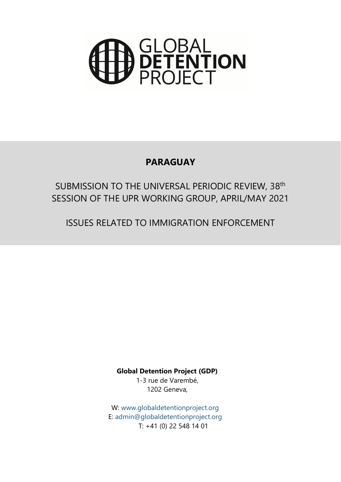

## **PARAGUAY**

# SUBMISSION TO THE UNIVERSAL PERIODIC REVIEW, 38th SESSION OF THE UPR WORKING GROUP, APRIL/MAY 2021

ISSUES RELATED TO IMMIGRATION ENFORCEMENT

**Global Detention Project (GDP)**

1-3 rue de Varembé, 1202 Geneva,

W: www.g[lobaldetentionproject.org](http://www.globaldetentionproject.org) E: [admin@globaldetentionproject.org](mailto:admin@globaldetentionproject.org) T: +41 (0) 22 548 14 01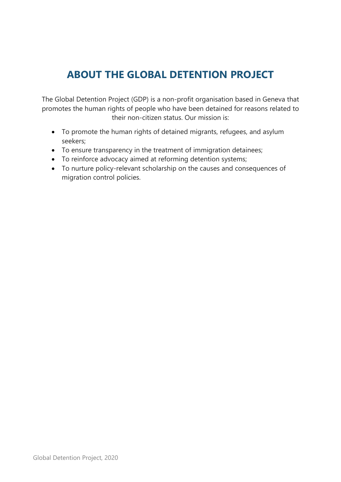# **ABOUT THE GLOBAL DETENTION PROJECT**

The Global Detention Project (GDP) is <sup>a</sup> non-profit organisation based in Geneva that promotes the human rights of people who have been detained for reasons related to their non-citizen status. Our mission is:

- To promote the human rights of detained migrants, refugees, and asylum seekers;
- To ensure transparency in the treatment of immigration detainees;
- To reinforce advocacy aimed at reforming detention systems;
- To nurture policy-relevant scholarship on the causes and consequences of migration control policies.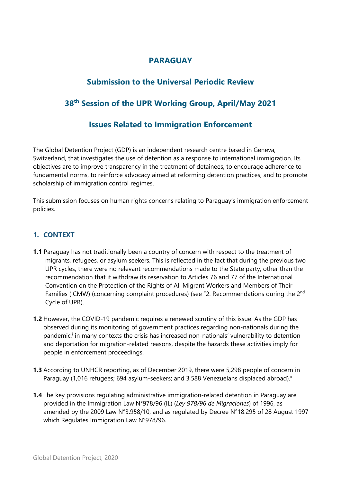## **PARAGUAY**

## **Submission to the Universal Periodic Review**

## **38th Session of the UPR Working Group, April/May 2021**

## **Issues Related to Immigration Enforcement**

The Global Detention Project (GDP) is an independent research centre based in Geneva, Switzerland, that investigates the use of detention as <sup>a</sup> response to international immigration. Its objectives are to improve transparency in the treatment of detainees, to encourage adherence to fundamental norms, to reinforce advocacy aimed at reforming detention practices, and to promote scholarship of immigration control regimes.

This submission focuses on human rights concerns relating to Paraguay'<sup>s</sup> immigration enforcement policies.

#### **1. CONTEXT**

- **1.1** Paraguay has not traditionally been <sup>a</sup> country of concern with respect to the treatment of migrants, refugees, or asylum seekers. This is reflected in the fact that during the previous two UPR cycles, there were no relevant recommendations made to the State party, other than the recommendation that it withdraw its reservation to Articles 76 and 77 of the International Convention on the Protection of the Rights of All Migrant Workers and Members of Their Families (ICMW) (concerning complaint procedures) (see "2. Recommendations during the 2<sup>nd</sup> Cycle of UPR).
- **1.2** However, the COVID-19 pandemic requires <sup>a</sup> renewed scrutiny of this issue. As the GDP has observed during its monitoring of governmen<sup>t</sup> practices regarding non-nationals during the pandemic,<sup>i</sup> in many contexts the crisis has increased non-nationals' vulnerability to detention and deportation for migration-related reasons, despite the hazards these activities imply for people in enforcement proceedings.
- **1.3** According to UNHCR reporting, as of December 2019, there were 5,298 people of concern in Paraguay (1,016 refugees; 694 asylum-seekers; and 3,588 Venezuelans displaced abroad). $^{\rm i}$
- **1.4** The key provisions regulating administrative immigration-related detention in Paraguay are provided in the Immigration Law N°978/96 (IL) (*Ley 978/96 de Migraciones*) of 1996, as amended by the 2009 Law N°3.958/10, and as regulated by Decree N°18.295 of 28 August 1997 which Regulates Immigration Law N°978/96.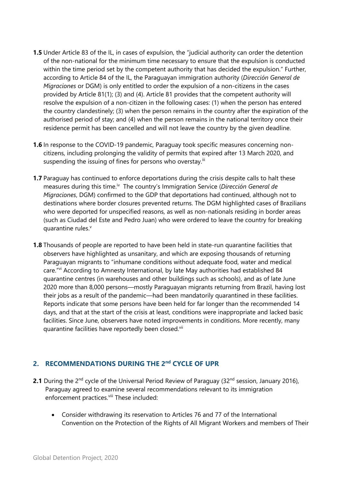- **1.5** Under Article 83 of the IL, in cases of expulsion, the "judicial authority can order the detention of the non-national for the minimum time necessary to ensure that the expulsion is conducted within the time period set by the competent authority that has decided the expulsion." Further, according to Article 84 of the IL, the Paraguayan immigration authority (*Dirección General de Migraciones* or DGM) is only entitled to order the expulsion of <sup>a</sup> non-citizens in the cases provided by Article 81(1); (3) and (4). Article 81 provides that the competent authority will resolve the expulsion of <sup>a</sup> non-citizen in the following cases: (1) when the person has entered the country clandestinely; (3) when the person remains in the country after the expiration of the authorised period of stay; and (4) when the person remains in the national territory once their residence permit has been cancelled and will not leave the country by the given deadline.
- **1.6** In response to the COVID-19 pandemic, Paraguay took specific measures concerning noncitizens, including prolonging the validity of permits that expired after 13 March 2020, and suspending the issuing of fines for persons who overstay. $^{\text{\tiny{iii}}}$
- **1.7** Paraguay has continued to enforce deportations during the crisis despite calls to halt these measures during this time.<sup>iv</sup> The country's Immigration Service (*Dirección General de Migraciones*, DGM) confirmed to the GDP that deportations had continued, although not to destinations where border closures prevented returns. The DGM highlighted cases of Brazilians who were deported for unspecified reasons, as well as non-nationals residing in border areas (such as Ciudad del Este and Pedro Juan) who were ordered to leave the country for breaking quarantine rules. v
- **1.8** Thousands of people are reported to have been held in state-run quarantine facilities that observers have highlighted as unsanitary, and which are exposing thousands of returning Paraguayan migrants to "inhumane conditions without adequate food, water and medical care." vi According to Amnesty International, by late May authorities had established 84 quarantine centres (in warehouses and other buildings such as schools), and as of late June 2020 more than 8,000 persons—mostly Paraguayan migrants returning from Brazil, having lost their jobs as <sup>a</sup> result of the pandemic—had been mandatorily quarantined in these facilities. Reports indicate that some persons have been held for far longer than the recommended 14 days, and that at the start of the crisis at least, conditions were inappropriate and lacked basic facilities. Since June, observers have noted improvements in conditions. More recently, many quarantine facilities have reportedly been closed.<sup>vi</sup>

#### **2. RECOMMENDATIONS DURING THE 2nd CYCLE OF UPR**

- **2.1** During the 2<sup>nd</sup> cycle of the Universal Period Review of Paraguay (32<sup>nd</sup> session, January 2016), Paraguay agreed to examine several recommendations relevant to its immigration enforcement practices.<sup>viii</sup> These included:
	- Consider withdrawing its reservation to Articles 76 and 77 of the International Convention on the Protection of the Rights of All Migrant Workers and members of Their

4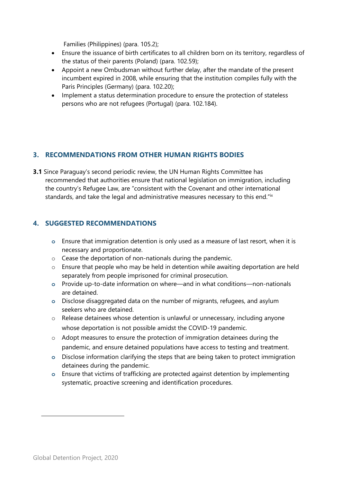Families (Philippines) (para. 105.2);

- $\bullet$  Ensure the issuance of birth certificates to all children born on its territory, regardless of the status of their parents (Poland) (para. 102.59);
- Appoint <sup>a</sup> new Ombudsman without further delay, after the mandate of the present incumbent expired in 2008, while ensuring that the institution compiles fully with the Paris Principles (Germany) (para. 102.20);
- Implement <sup>a</sup> status determination procedure to ensure the protection of stateless persons who are not refugees (Portugal) (para. 102.184).

#### **3. RECOMMENDATIONS FROM OTHER HUMAN RIGHTS BODIES**

**3.1** Since Paraguay'<sup>s</sup> second periodic review, the UN Human Rights Committee has recommended that authorities ensure that national legislation on immigration, including the country'<sup>s</sup> Refugee Law, are "consistent with the Covenant and other international standards, and take the legal and administrative measures necessary to this end." $^{\mathrm{ix}}$ 

#### **4. SUGGESTED RECOMMENDATIONS**

- **<sup>o</sup>** Ensure that immigration detention is only used as <sup>a</sup> measure of last resort, when it is necessary and proportionate.
- <sup>o</sup> Cease the deportation of non-nationals during the pandemic.
- <sup>o</sup> Ensure that people who may be held in detention while awaiting deportation are held separately from people imprisoned for criminal prosecution.
- **<sup>o</sup>** Provide up-to-date information on where—and in what conditions—non-nationals are detained.
- **<sup>o</sup>** Disclose disaggregated data on the number of migrants, refugees, and asylum seekers who are detained.
- <sup>o</sup> Release detainees whose detention is unlawful or unnecessary, including anyone whose deportation is not possible amidst the COVID-19 pandemic.
- <sup>o</sup> Adopt measures to ensure the protection of immigration detainees during the pandemic, and ensure detained populations have access to testing and treatment.
- **<sup>o</sup>** Disclose information clarifying the steps that are being taken to protect immigration detainees during the pandemic.
- **<sup>o</sup>** Ensure that victims of trafficking are protected against detention by implementing systematic, proactive screening and identification procedures.